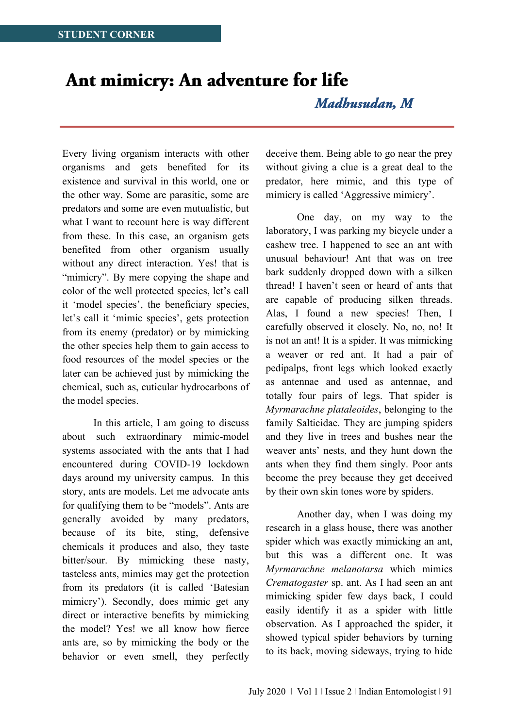## Ant mimicry: An adventure for life

Madhusudan, M

Every living organism interacts with other organisms and gets benefited for its existence and survival in this world, one or the other way. Some are parasitic, some are predators and some are even mutualistic, but what I want to recount here is way different from these. In this case, an organism gets benefited from other organism usually without any direct interaction. Yes! that is "mimicry". By mere copying the shape and color of the well protected species, let's call it 'model species', the beneficiary species, let's call it 'mimic species', gets protection from its enemy (predator) or by mimicking the other species help them to gain access to food resources of the model species or the later can be achieved just by mimicking the chemical, such as, cuticular hydrocarbons of the model species.

In this article, I am going to discuss about such extraordinary mimic-model systems associated with the ants that I had encountered during COVID-19 lockdown days around my university campus. In this story, ants are models. Let me advocate ants for qualifying them to be "models". Ants are generally avoided by many predators, because of its bite, sting, defensive chemicals it produces and also, they taste bitter/sour. By mimicking these nasty, tasteless ants, mimics may get the protection from its predators (it is called 'Batesian mimicry'). Secondly, does mimic get any direct or interactive benefits by mimicking the model? Yes! we all know how fierce ants are, so by mimicking the body or the behavior or even smell, they perfectly

deceive them. Being able to go near the prey without giving a clue is a great deal to the predator, here mimic, and this type of mimicry is called 'Aggressive mimicry'.

One day, on my way to the laboratory, I was parking my bicycle under a cashew tree. I happened to see an ant with unusual behaviour! Ant that was on tree bark suddenly dropped down with a silken thread! I haven't seen or heard of ants that are capable of producing silken threads. Alas, I found a new species! Then, I carefully observed it closely. No, no, no! It is not an ant! It is a spider. It was mimicking a weaver or red ant. It had a pair of pedipalps, front legs which looked exactly as antennae and used as antennae, and totally four pairs of legs. That spider is *Myrmarachne plataleoides*, belonging to the family Salticidae. They are jumping spiders and they live in trees and bushes near the weaver ants' nests, and they hunt down the ants when they find them singly. Poor ants become the prey because they get deceived by their own skin tones wore by spiders.

Another day, when I was doing my research in a glass house, there was another spider which was exactly mimicking an ant, but this was a different one. It was *Myrmarachne melanotarsa* which mimics *Crematogaster* sp. ant. As I had seen an ant mimicking spider few days back, I could easily identify it as a spider with little observation. As I approached the spider, it showed typical spider behaviors by turning to its back, moving sideways, trying to hide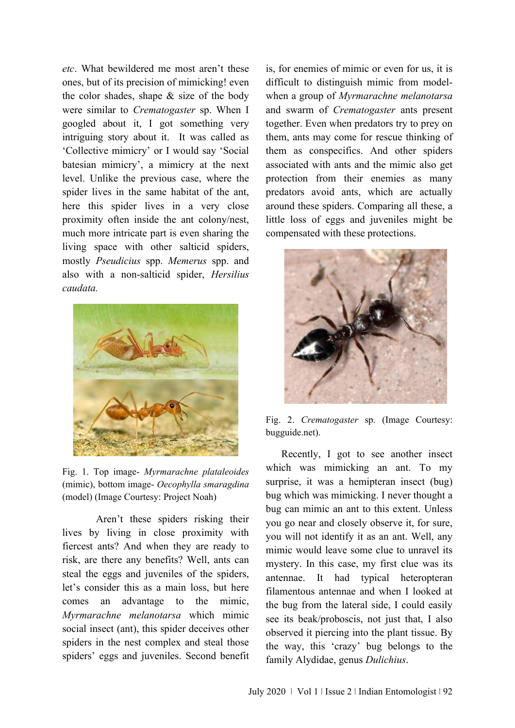*etc*. What bewildered me most aren't these ones, but of its precision of mimicking! even the color shades, shape & size of the body were similar to *Crematogaster* sp. When I googled about it, I got something very intriguing story about it. It was called as 'Collective mimicry' or I would say 'Social batesian mimicry', a mimicry at the next level. Unlike the previous case, where the spider lives in the same habitat of the ant, here this spider lives in a very close proximity often inside the ant colony/nest, much more intricate part is even sharing the living space with other salticid spiders, mostly *Pseudicius* spp. *Memerus* spp. and also with a non-salticid spider, *Hersilius caudata.*



Fig. 1. Top image- *Myrmarachne plataleoides*  (mimic), bottom image- *Oecophylla smaragdina*  (model) (Image Courtesy: Project Noah)

Aren't these spiders risking their lives by living in close proximity with fiercest ants? And when they are ready to risk, are there any benefits? Well, ants can steal the eggs and juveniles of the spiders, let's consider this as a main loss, but here comes an advantage to the mimic, *Myrmarachne melanotarsa* which mimic social insect (ant), this spider deceives other spiders in the nest complex and steal those spiders' eggs and juveniles. Second benefit

is, for enemies of mimic or even for us, it is difficult to distinguish mimic from modelwhen a group of *Myrmarachne melanotarsa* and swarm of *Crematogaster* ants present together. Even when predators try to prey on them, ants may come for rescue thinking of them as conspecifics. And other spiders associated with ants and the mimic also get protection from their enemies as many predators avoid ants, which are actually around these spiders. Comparing all these, a little loss of eggs and juveniles might be compensated with these protections.



Fig. 2. *Crematogaster* sp. (Image Courtesy: bugguide.net).

 Recently, I got to see another insect which was mimicking an ant. To my surprise, it was a hemipteran insect (bug) bug which was mimicking. I never thought a bug can mimic an ant to this extent. Unless you go near and closely observe it, for sure, you will not identify it as an ant. Well, any mimic would leave some clue to unravel its mystery. In this case, my first clue was its antennae. It had typical heteropteran filamentous antennae and when I looked at the bug from the lateral side, I could easily see its beak/proboscis, not just that, I also observed it piercing into the plant tissue. By the way, this 'crazy' bug belongs to the family Alydidae, genus *Dulichius*.